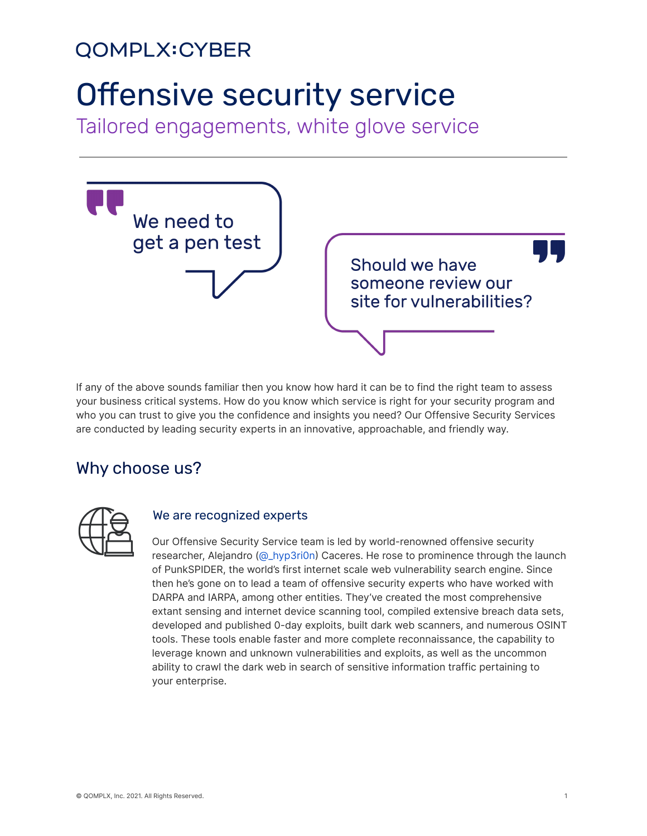### **OOMPLX:CYBER**

# Offensive security service

Tailored engagements, white glove service



If any of the above sounds familiar then you know how hard it can be to find the right team to assess your business critical systems. How do you know which service is right for your security program and who you can trust to give you the confidence and insights you need? Our Offensive Security Services are conducted by leading security experts in an innovative, approachable, and friendly way.

### Why choose us?



#### We are recognized experts

Our Offensive Security Service team is led by world-renowned offensive security researcher, Alejandro [\(@\\_hyp3ri0n](https://twitter.com/_hyp3ri0n)) Caceres. He rose to prominence through the launch of PunkSPIDER, the world's first internet scale web vulnerability search engine. Since then he's gone on to lead a team of offensive security experts who have worked with DARPA and IARPA, among other entities. They've created the most comprehensive extant sensing and internet device scanning tool, compiled extensive breach data sets, developed and published 0-day exploits, built dark web scanners, and numerous OSINT tools. These tools enable faster and more complete reconnaissance, the capability to leverage known and unknown vulnerabilities and exploits, as well as the uncommon ability to crawl the dark web in search of sensitive information traffic pertaining to your enterprise.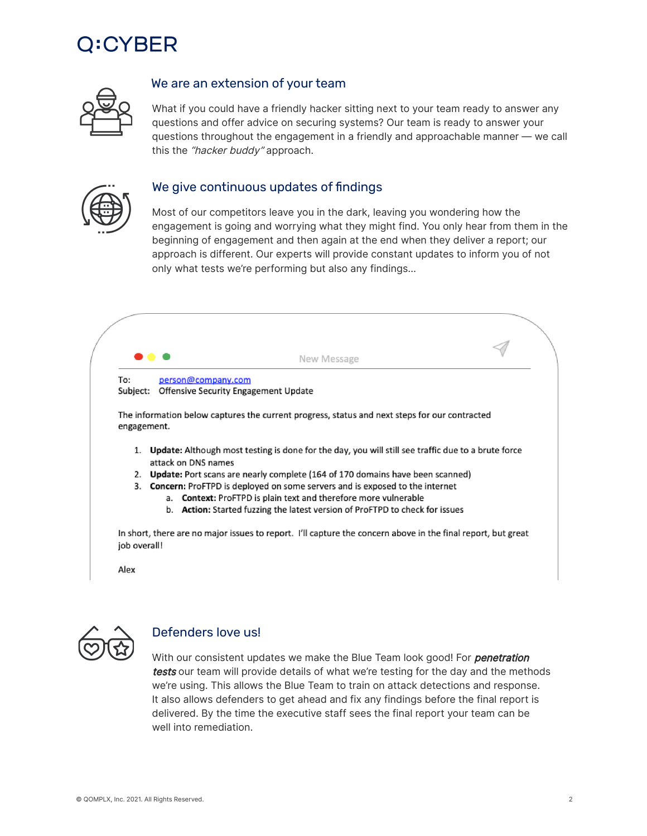## ):CYBER



#### We are an extension of your team

What if you could have a friendly hacker sitting next to your team ready to answer any questions and offer advice on securing systems? Our team is ready to answer your questions throughout the engagement in a friendly and approachable manner — we call this the "hacker buddy" approach.



#### We give continuous updates of findings

Most of our competitors leave you in the dark, leaving you wondering how the engagement is going and worrying what they might find. You only hear from them in the beginning of engagement and then again at the end when they deliver a report; our approach is different. Our experts will provide constant updates to inform you of not only what tests we're performing but also any findings…





#### Defenders love us!

With our consistent updates we make the Blue Team look good! For **penetration** tests our team will provide details of what we're testing for the day and the methods we're using. This allows the Blue Team to train on attack detections and response. It also allows defenders to get ahead and fix any findings before the final report is delivered. By the time the executive staff sees the final report your team can be well into remediation.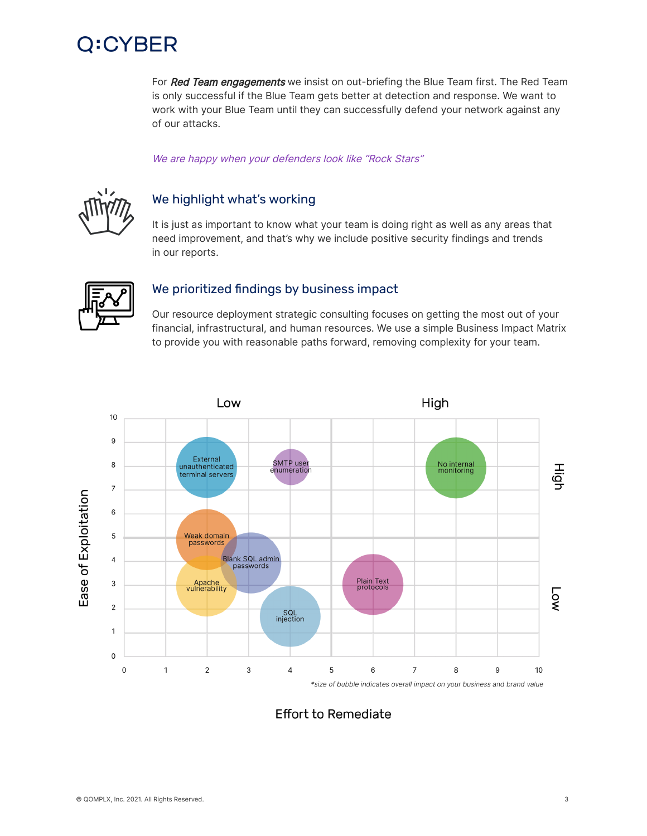### Q:CYBER

For Red Team engagements we insist on out-briefing the Blue Team first. The Red Team is only successful if the Blue Team gets better at detection and response. We want to work with your Blue Team until they can successfully defend your network against any of our attacks.

We are happy when your defenders look like "Rock Stars"



#### We highlight what's working

It is just as important to know what your team is doing right as well as any areas that need improvement, and that's why we include positive security findings and trends in our reports.



#### We prioritized findings by business impact

Our resource deployment strategic consulting focuses on getting the most out of your financial, infrastructural, and human resources. We use a simple Business Impact Matrix to provide you with reasonable paths forward, removing complexity for your team.



**Effort to Remediate**